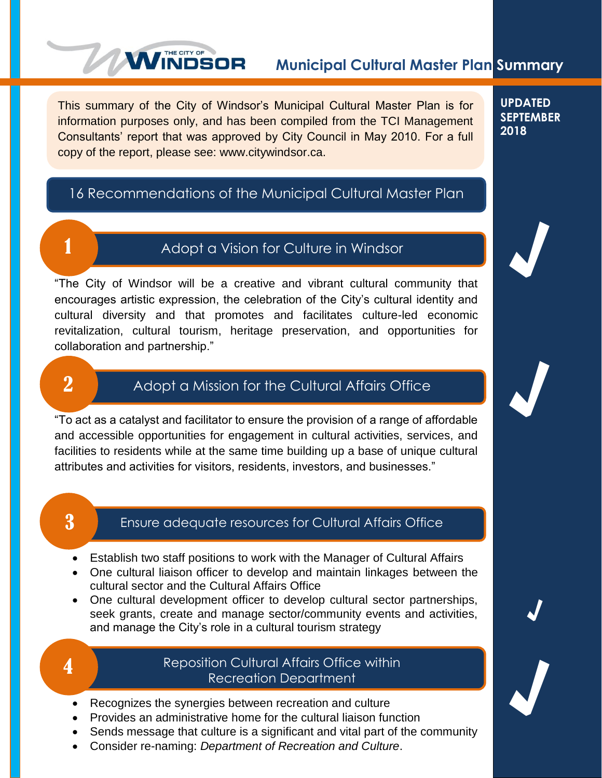# **Municipal Cultural Master Plan Summary**

This summary of the City of Windsor's Municipal Cultural Master Plan is for information purposes only, and has been compiled from the TCI Management Consultants' report that was approved by City Council in May 2010. For a full copy of the report, please see: www.citywindsor.ca.

**WINDSOR** 

**UPDATED SEPTEMBER 2018**

√

√

√

√

# 16 Recommendations of the Municipal Cultural Master Plan



# Adopt a Vision for Culture in Windsor

"The City of Windsor will be a creative and vibrant cultural community that encourages artistic expression, the celebration of the City's cultural identity and cultural diversity and that promotes and facilitates culture-led economic revitalization, cultural tourism, heritage preservation, and opportunities for collaboration and partnership."

# 2

# Adopt a Mission for the Cultural Affairs Office

"To act as a catalyst and facilitator to ensure the provision of a range of affordable and accessible opportunities for engagement in cultural activities, services, and facilities to residents while at the same time building up a base of unique cultural attributes and activities for visitors, residents, investors, and businesses."

# 3

### Ensure adequate resources for Cultural Affairs Office

- Establish two staff positions to work with the Manager of Cultural Affairs
- One cultural liaison officer to develop and maintain linkages between the cultural sector and the Cultural Affairs Office
- One cultural development officer to develop cultural sector partnerships, seek grants, create and manage sector/community events and activities, and manage the City's role in a cultural tourism strategy



# Reposition Cultural Affairs Office within Recreation Department

- Recognizes the synergies between recreation and culture
- Provides an administrative home for the cultural liaison function
- Sends message that culture is a significant and vital part of the community
- Consider re-naming: *Department of Recreation and Culture*.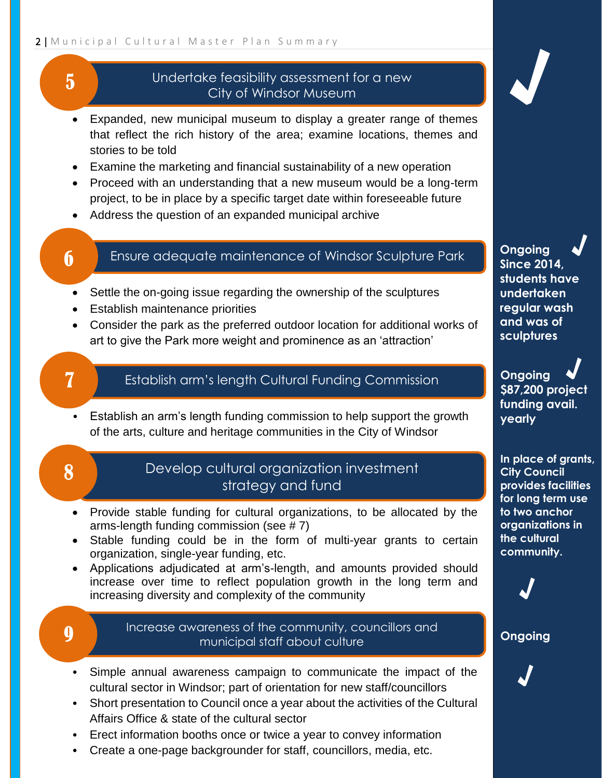### 2 | Municipal Cultural Master Plan Summary

# Undertake feasibility assessment for a new City of Windsor Museum

- Expanded, new municipal museum to display a greater range of themes that reflect the rich history of the area; examine locations, themes and stories to be told Examine the marketing and financial sustainability of a new operation • Proceed with an understanding that a new museum would be a long-term project, to be in place by a specific target date within foreseeable future
- Address the question of an expanded municipal archive

# 6

5

## Ensure adequate maintenance of Windsor Sculpture Park

- Settle the on-going issue regarding the ownership of the sculptures
- Establish maintenance priorities
- Consider the park as the preferred outdoor location for additional works of art to give the Park more weight and prominence as an 'attraction'

# 7

# Establish arm's length Cultural Funding Commission

• Establish an arm's length funding commission to help support the growth of the arts, culture and heritage communities in the City of Windsor

# 8

# Develop cultural organization investment strategy and fund

- Provide stable funding for cultural organizations, to be allocated by the arms-length funding commission (see  $# 7$ )
- Stable funding could be in the form of multi-year grants to certain organization, single-year funding, etc.
- Applications adjudicated at arm's-length, and amounts provided should increase over time to reflect population growth in the long term and increasing diversity and complexity of the community

# **g** Increase awareness of the community, councillors and municipal staff about culture

- Simple annual awareness campaign to communicate the impact of the cultural sector in Windsor; part of orientation for new staff/councillors
- Short presentation to Council once a year about the activities of the Cultural Affairs Office & state of the cultural sector
- Erect information booths once or twice a year to convey information
- Create a one-page backgrounder for staff, councillors, media, etc.

# √

**Ongoing Since 2014, students have undertaken regular wash and was of sculptures** √

**Ongoing \$87,200 project funding avail. yearly** √

**In place of grants, City Council provides facilities for long term use to two anchor organizations in the cultural community.**



### **Ongoing**

√